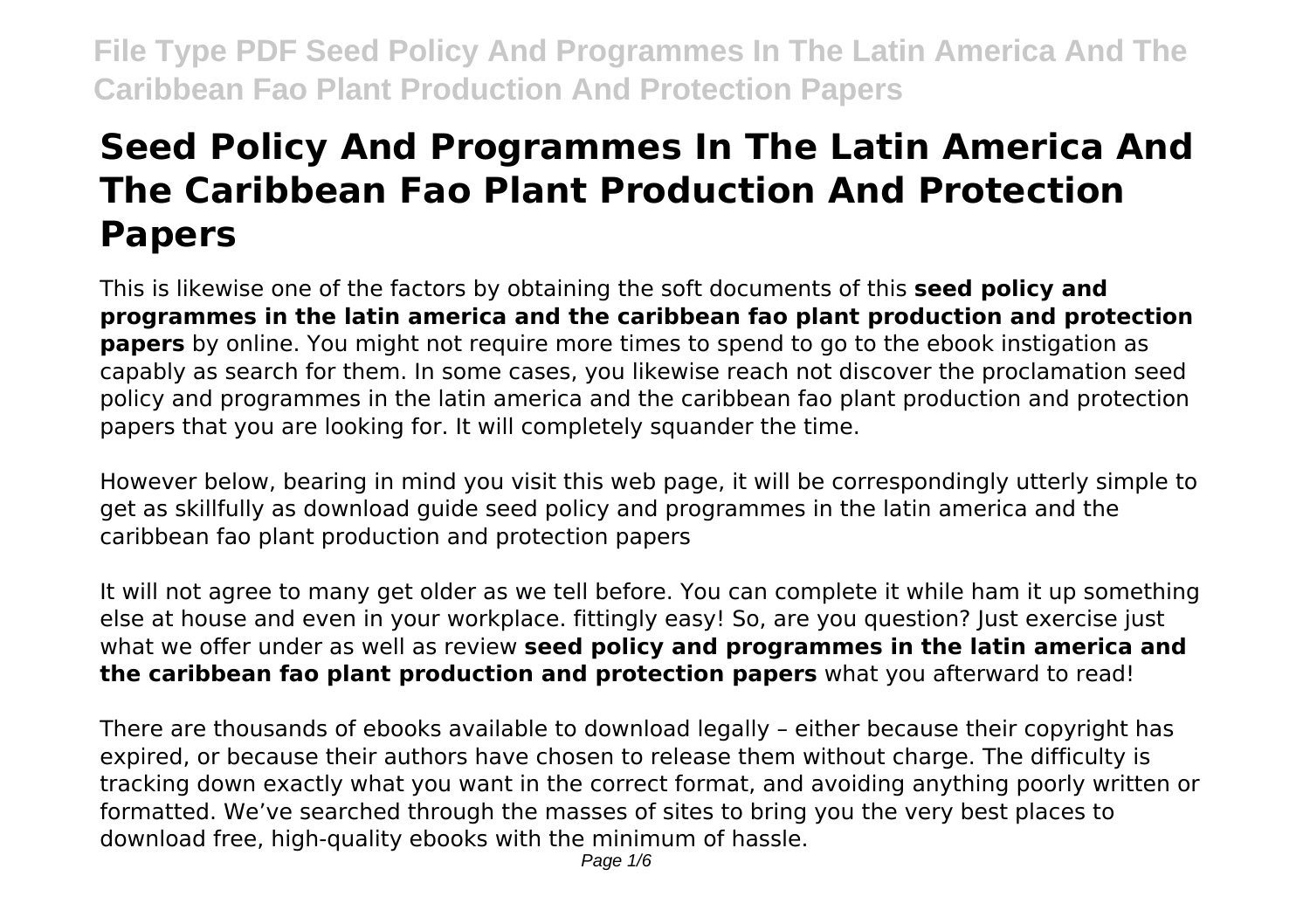# **Seed Policy And Programmes In The Latin America And The Caribbean Fao Plant Production And Protection Papers**

This is likewise one of the factors by obtaining the soft documents of this **seed policy and programmes in the latin america and the caribbean fao plant production and protection papers** by online. You might not require more times to spend to go to the ebook instigation as capably as search for them. In some cases, you likewise reach not discover the proclamation seed policy and programmes in the latin america and the caribbean fao plant production and protection papers that you are looking for. It will completely squander the time.

However below, bearing in mind you visit this web page, it will be correspondingly utterly simple to get as skillfully as download guide seed policy and programmes in the latin america and the caribbean fao plant production and protection papers

It will not agree to many get older as we tell before. You can complete it while ham it up something else at house and even in your workplace. fittingly easy! So, are you question? Just exercise just what we offer under as well as review **seed policy and programmes in the latin america and the caribbean fao plant production and protection papers** what you afterward to read!

There are thousands of ebooks available to download legally – either because their copyright has expired, or because their authors have chosen to release them without charge. The difficulty is tracking down exactly what you want in the correct format, and avoiding anything poorly written or formatted. We've searched through the masses of sites to bring you the very best places to download free, high-quality ebooks with the minimum of hassle.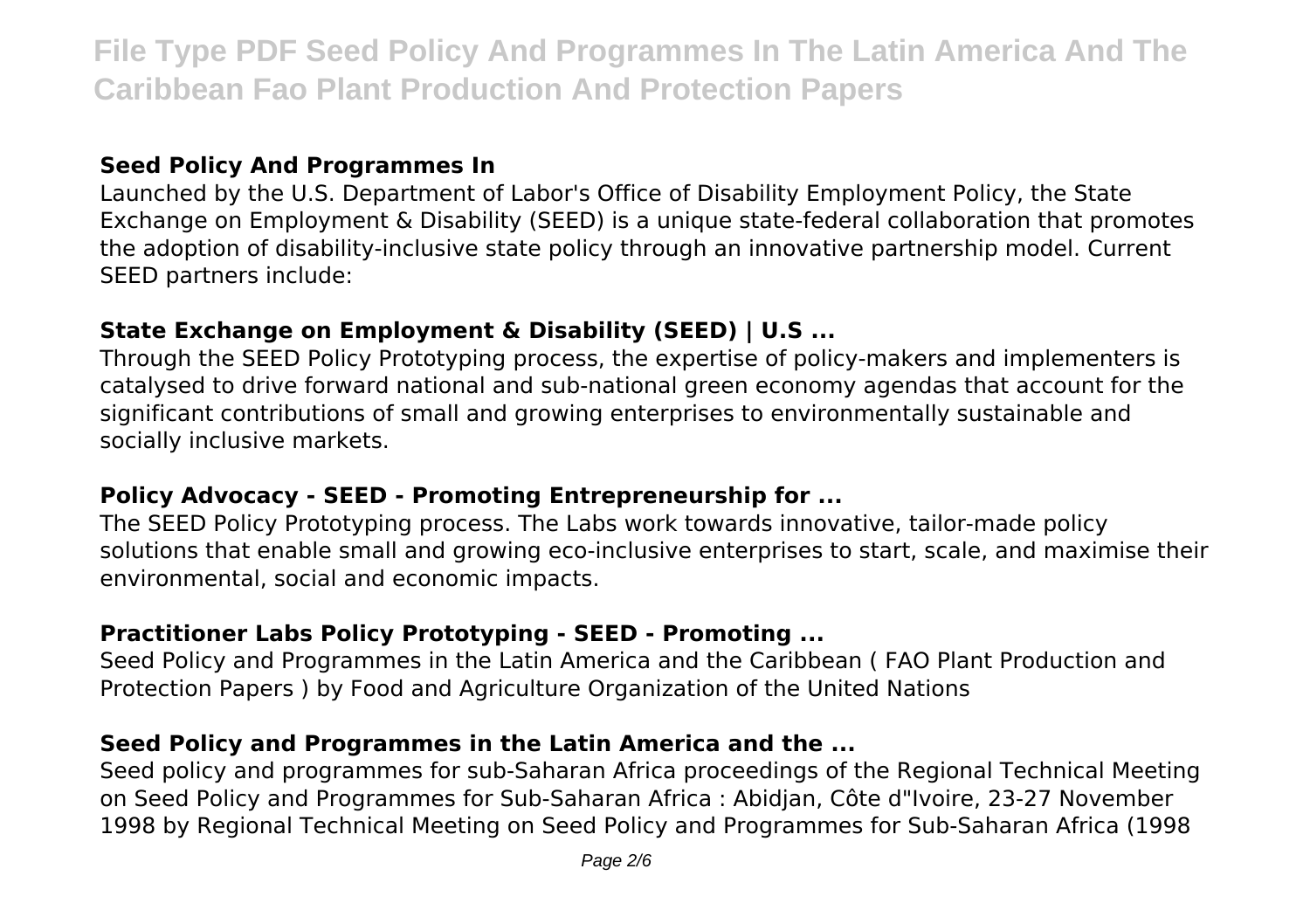#### **Seed Policy And Programmes In**

Launched by the U.S. Department of Labor's Office of Disability Employment Policy, the State Exchange on Employment & Disability (SEED) is a unique state-federal collaboration that promotes the adoption of disability-inclusive state policy through an innovative partnership model. Current SEED partners include:

# **State Exchange on Employment & Disability (SEED) | U.S ...**

Through the SEED Policy Prototyping process, the expertise of policy-makers and implementers is catalysed to drive forward national and sub-national green economy agendas that account for the significant contributions of small and growing enterprises to environmentally sustainable and socially inclusive markets.

#### **Policy Advocacy - SEED - Promoting Entrepreneurship for ...**

The SEED Policy Prototyping process. The Labs work towards innovative, tailor-made policy solutions that enable small and growing eco-inclusive enterprises to start, scale, and maximise their environmental, social and economic impacts.

# **Practitioner Labs Policy Prototyping - SEED - Promoting ...**

Seed Policy and Programmes in the Latin America and the Caribbean ( FAO Plant Production and Protection Papers ) by Food and Agriculture Organization of the United Nations

## **Seed Policy and Programmes in the Latin America and the ...**

Seed policy and programmes for sub-Saharan Africa proceedings of the Regional Technical Meeting on Seed Policy and Programmes for Sub-Saharan Africa : Abidjan, Côte d"Ivoire, 23-27 November 1998 by Regional Technical Meeting on Seed Policy and Programmes for Sub-Saharan Africa (1998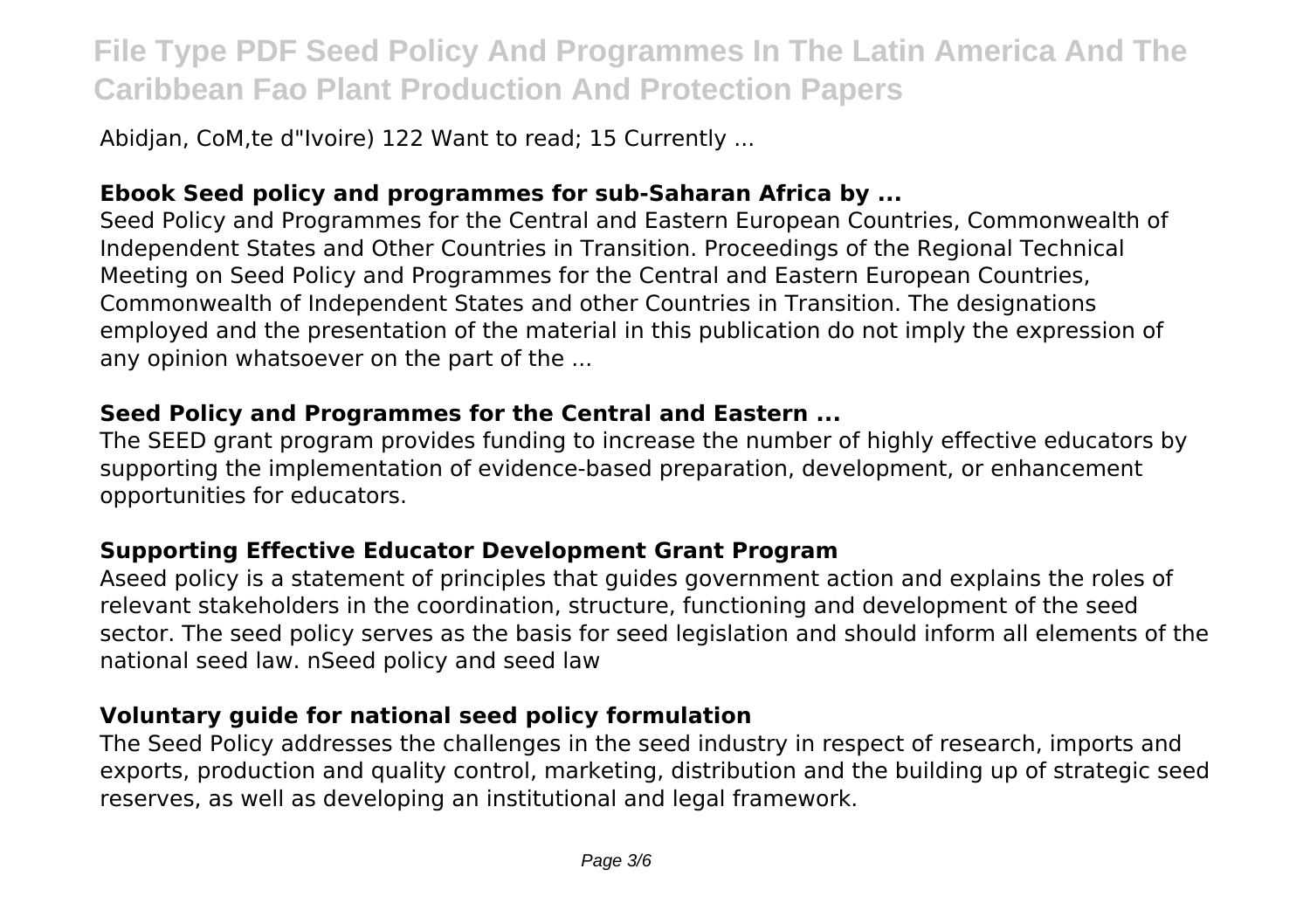Abidjan, CoM, te d"Ivoire) 122 Want to read; 15 Currently ...

# **Ebook Seed policy and programmes for sub-Saharan Africa by ...**

Seed Policy and Programmes for the Central and Eastern European Countries, Commonwealth of Independent States and Other Countries in Transition. Proceedings of the Regional Technical Meeting on Seed Policy and Programmes for the Central and Eastern European Countries, Commonwealth of Independent States and other Countries in Transition. The designations employed and the presentation of the material in this publication do not imply the expression of any opinion whatsoever on the part of the ...

#### **Seed Policy and Programmes for the Central and Eastern ...**

The SEED grant program provides funding to increase the number of highly effective educators by supporting the implementation of evidence-based preparation, development, or enhancement opportunities for educators.

## **Supporting Effective Educator Development Grant Program**

Aseed policy is a statement of principles that guides government action and explains the roles of relevant stakeholders in the coordination, structure, functioning and development of the seed sector. The seed policy serves as the basis for seed legislation and should inform all elements of the national seed law. nSeed policy and seed law

## **Voluntary guide for national seed policy formulation**

The Seed Policy addresses the challenges in the seed industry in respect of research, imports and exports, production and quality control, marketing, distribution and the building up of strategic seed reserves, as well as developing an institutional and legal framework.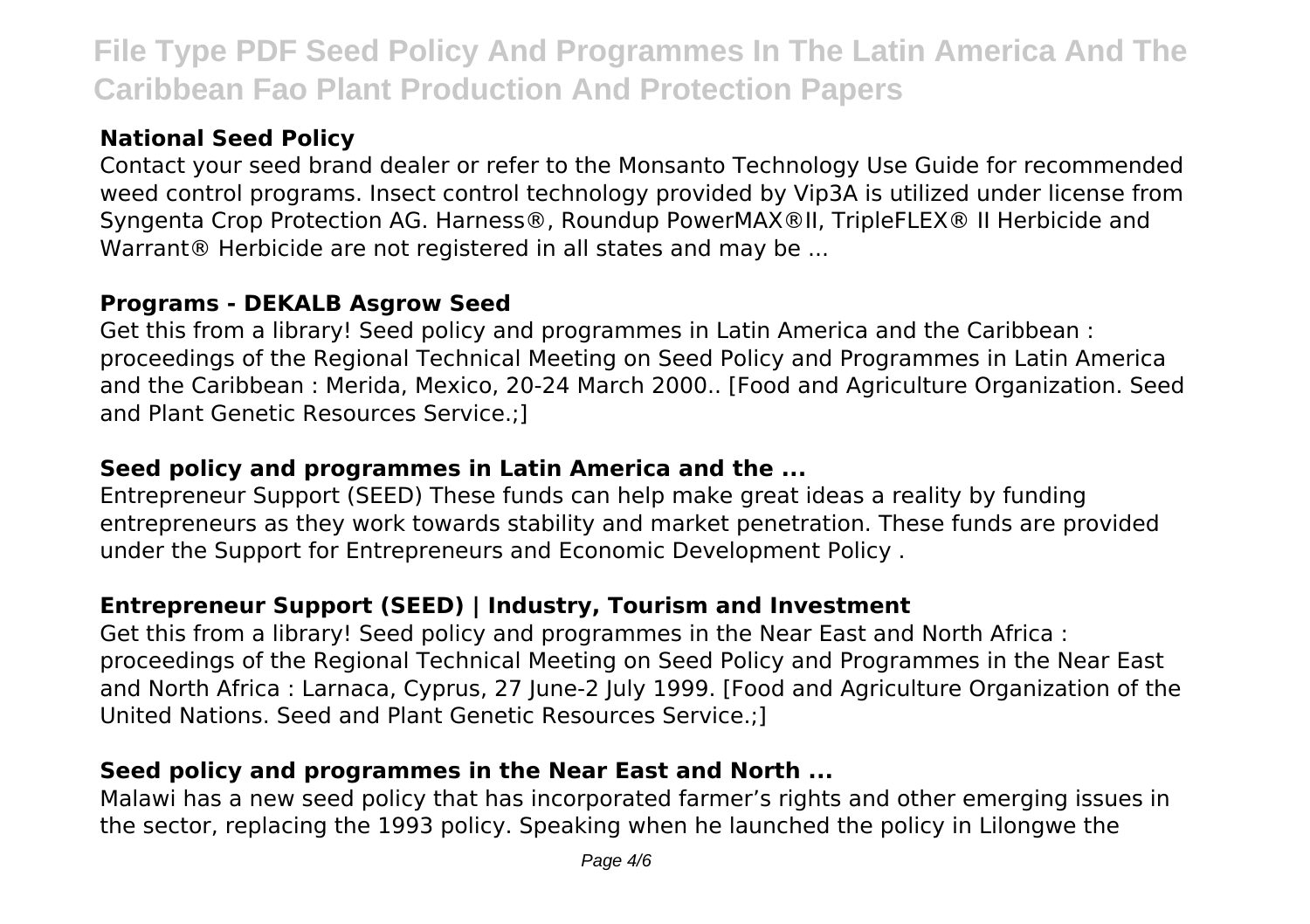# **National Seed Policy**

Contact your seed brand dealer or refer to the Monsanto Technology Use Guide for recommended weed control programs. Insect control technology provided by Vip3A is utilized under license from Syngenta Crop Protection AG. Harness®, Roundup PowerMAX®II, TripleFLEX® II Herbicide and Warrant® Herbicide are not registered in all states and may be ...

#### **Programs - DEKALB Asgrow Seed**

Get this from a library! Seed policy and programmes in Latin America and the Caribbean : proceedings of the Regional Technical Meeting on Seed Policy and Programmes in Latin America and the Caribbean : Merida, Mexico, 20-24 March 2000.. [Food and Agriculture Organization. Seed and Plant Genetic Resources Service.;]

# **Seed policy and programmes in Latin America and the ...**

Entrepreneur Support (SEED) These funds can help make great ideas a reality by funding entrepreneurs as they work towards stability and market penetration. These funds are provided under the Support for Entrepreneurs and Economic Development Policy .

# **Entrepreneur Support (SEED) | Industry, Tourism and Investment**

Get this from a library! Seed policy and programmes in the Near East and North Africa : proceedings of the Regional Technical Meeting on Seed Policy and Programmes in the Near East and North Africa : Larnaca, Cyprus, 27 June-2 July 1999. [Food and Agriculture Organization of the United Nations. Seed and Plant Genetic Resources Service.;]

# **Seed policy and programmes in the Near East and North ...**

Malawi has a new seed policy that has incorporated farmer's rights and other emerging issues in the sector, replacing the 1993 policy. Speaking when he launched the policy in Lilongwe the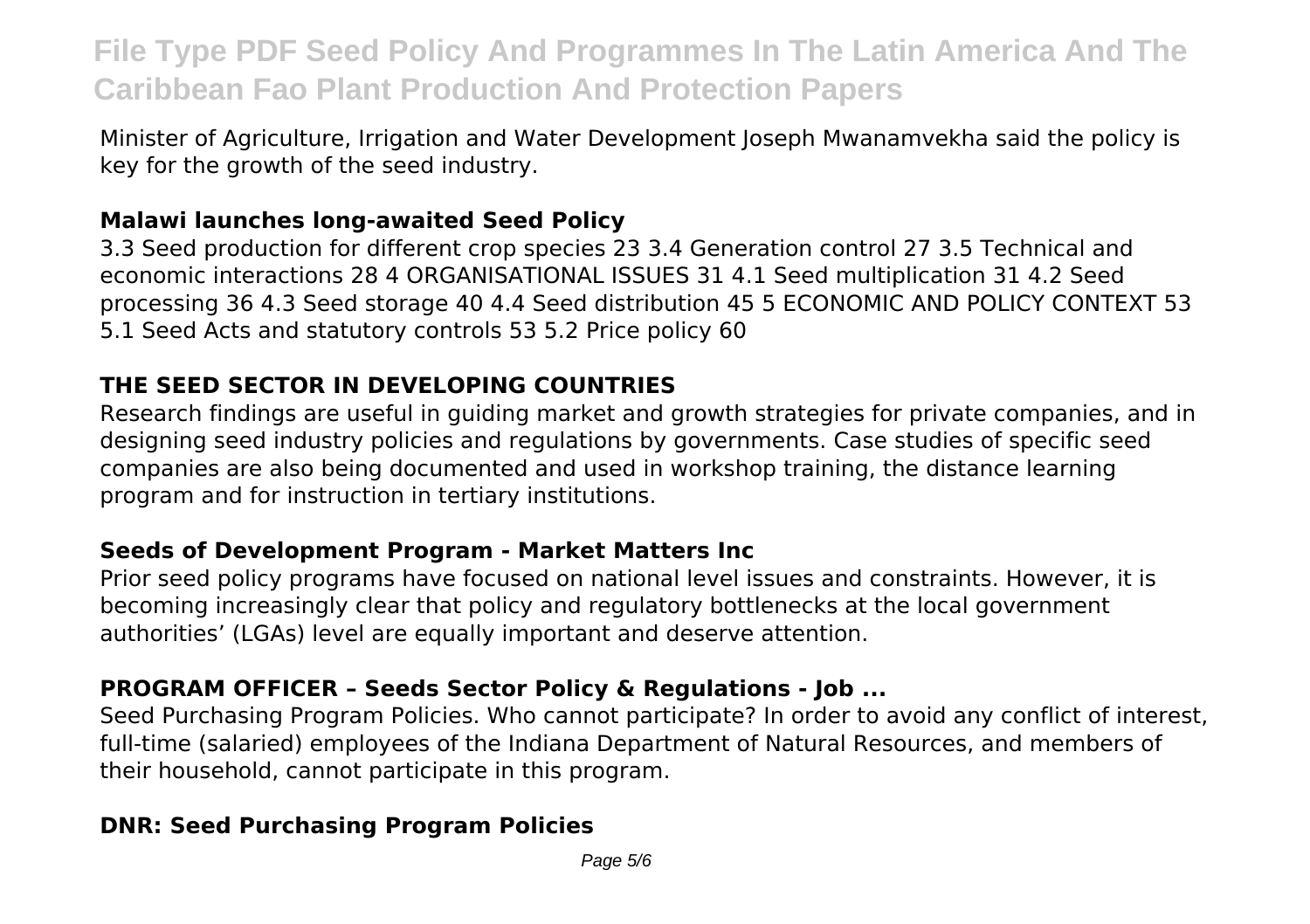Minister of Agriculture, Irrigation and Water Development Joseph Mwanamvekha said the policy is key for the growth of the seed industry.

#### **Malawi launches long-awaited Seed Policy**

3.3 Seed production for different crop species 23 3.4 Generation control 27 3.5 Technical and economic interactions 28 4 ORGANISATIONAL ISSUES 31 4.1 Seed multiplication 31 4.2 Seed processing 36 4.3 Seed storage 40 4.4 Seed distribution 45 5 ECONOMIC AND POLICY CONTEXT 53 5.1 Seed Acts and statutory controls 53 5.2 Price policy 60

# **THE SEED SECTOR IN DEVELOPING COUNTRIES**

Research findings are useful in guiding market and growth strategies for private companies, and in designing seed industry policies and regulations by governments. Case studies of specific seed companies are also being documented and used in workshop training, the distance learning program and for instruction in tertiary institutions.

#### **Seeds of Development Program - Market Matters Inc**

Prior seed policy programs have focused on national level issues and constraints. However, it is becoming increasingly clear that policy and regulatory bottlenecks at the local government authorities' (LGAs) level are equally important and deserve attention.

## **PROGRAM OFFICER – Seeds Sector Policy & Regulations - Job ...**

Seed Purchasing Program Policies. Who cannot participate? In order to avoid any conflict of interest, full-time (salaried) employees of the Indiana Department of Natural Resources, and members of their household, cannot participate in this program.

## **DNR: Seed Purchasing Program Policies**